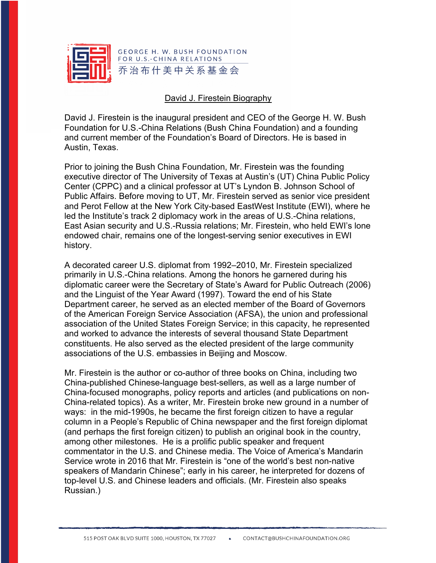

## David J. Firestein Biography

David J. Firestein is the inaugural president and CEO of the George H. W. Bush Foundation for U.S.-China Relations (Bush China Foundation) and a founding and current member of the Foundation's Board of Directors. He is based in Austin, Texas.

Prior to joining the Bush China Foundation, Mr. Firestein was the founding executive director of The University of Texas at Austin's (UT) China Public Policy Center (CPPC) and a clinical professor at UT's Lyndon B. Johnson School of Public Affairs. Before moving to UT, Mr. Firestein served as senior vice president and Perot Fellow at the New York City-based EastWest Institute (EWI), where he led the Institute's track 2 diplomacy work in the areas of U.S.-China relations, East Asian security and U.S.-Russia relations; Mr. Firestein, who held EWI's lone endowed chair, remains one of the longest-serving senior executives in EWI history.

A decorated career U.S. diplomat from 1992–2010, Mr. Firestein specialized primarily in U.S.-China relations. Among the honors he garnered during his diplomatic career were the Secretary of State's Award for Public Outreach (2006) and the Linguist of the Year Award (1997). Toward the end of his State Department career, he served as an elected member of the Board of Governors of the American Foreign Service Association (AFSA), the union and professional association of the United States Foreign Service; in this capacity, he represented and worked to advance the interests of several thousand State Department constituents. He also served as the elected president of the large community associations of the U.S. embassies in Beijing and Moscow.

Mr. Firestein is the author or co-author of three books on China, including two China-published Chinese-language best-sellers, as well as a large number of China-focused monographs, policy reports and articles (and publications on non-China-related topics). As a writer, Mr. Firestein broke new ground in a number of ways: in the mid-1990s, he became the first foreign citizen to have a regular column in a People's Republic of China newspaper and the first foreign diplomat (and perhaps the first foreign citizen) to publish an original book in the country, among other milestones. He is a prolific public speaker and frequent commentator in the U.S. and Chinese media. The Voice of America's Mandarin Service wrote in 2016 that Mr. Firestein is "one of the world's best non-native speakers of Mandarin Chinese"; early in his career, he interpreted for dozens of top-level U.S. and Chinese leaders and officials. (Mr. Firestein also speaks Russian.)